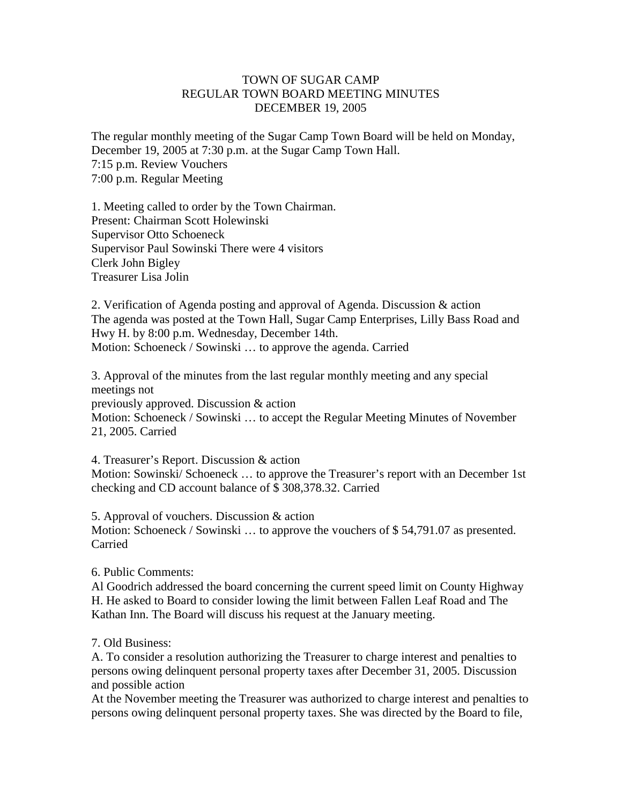## TOWN OF SUGAR CAMP REGULAR TOWN BOARD MEETING MINUTES DECEMBER 19, 2005

The regular monthly meeting of the Sugar Camp Town Board will be held on Monday, December 19, 2005 at 7:30 p.m. at the Sugar Camp Town Hall. 7:15 p.m. Review Vouchers 7:00 p.m. Regular Meeting

1. Meeting called to order by the Town Chairman. Present: Chairman Scott Holewinski Supervisor Otto Schoeneck Supervisor Paul Sowinski There were 4 visitors Clerk John Bigley Treasurer Lisa Jolin

2. Verification of Agenda posting and approval of Agenda. Discussion & action The agenda was posted at the Town Hall, Sugar Camp Enterprises, Lilly Bass Road and Hwy H. by 8:00 p.m. Wednesday, December 14th. Motion: Schoeneck / Sowinski … to approve the agenda. Carried

3. Approval of the minutes from the last regular monthly meeting and any special meetings not previously approved. Discussion & action Motion: Schoeneck / Sowinski … to accept the Regular Meeting Minutes of November 21, 2005. Carried

4. Treasurer's Report. Discussion & action Motion: Sowinski/ Schoeneck … to approve the Treasurer's report with an December 1st checking and CD account balance of \$ 308,378.32. Carried

5. Approval of vouchers. Discussion & action Motion: Schoeneck / Sowinski ... to approve the vouchers of \$54,791.07 as presented. Carried

6. Public Comments:

Al Goodrich addressed the board concerning the current speed limit on County Highway H. He asked to Board to consider lowing the limit between Fallen Leaf Road and The Kathan Inn. The Board will discuss his request at the January meeting.

7. Old Business:

A. To consider a resolution authorizing the Treasurer to charge interest and penalties to persons owing delinquent personal property taxes after December 31, 2005. Discussion and possible action

At the November meeting the Treasurer was authorized to charge interest and penalties to persons owing delinquent personal property taxes. She was directed by the Board to file,